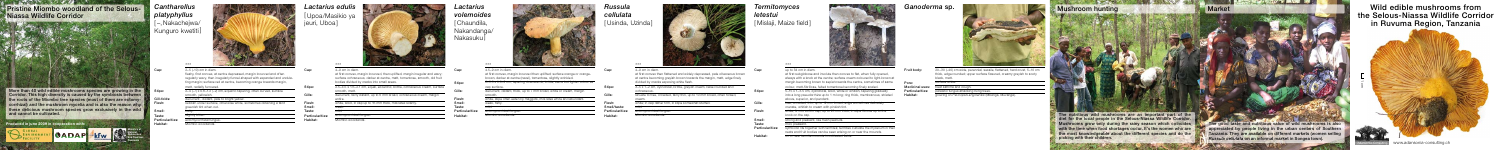black, matt.



20–30 (–40) cm wide, perennial, sessile, flattened, hard crust, 5–10 cm thick, edge rounded; upper surface fissured, creamy greyish to soot

picking with their children.

prigus attacking living tre

surface white. treat asthma and cough.

growing on *Pericopsis angolensis* (Mbanga, Muvanga).

1cm



## Fruit body: Pore: Medicinal uses: **Particularities** Habitat:



4–9 cm in diam.

at first convex then flattened and widely depressed, pale olivaceous bro at centre becoming greyish brown towards the margin, matt, edge finely divided by cracks exposing white flesh.

| 3–5 x 1–2 cm, cylindrical, brittle, greyish cream, base rounded and     |        |
|-------------------------------------------------------------------------|--------|
| ochraceous.                                                             | Stipe: |
| sinuate to free, crowded, fairly thin, up to 10 mm broad, often forked, |        |
| cream.                                                                  |        |
| white; in cap rather firm, in stipe somewhat stuffed.                   | Gills: |

weak. mild.

ectomycorrhizal fungus.

### 4–9 cm in diam.

*Lactarius volemoides*  [ Chaundila, Nakandanga/ Nakasuku

| $4-9$ cm in diam.                                                           | Cap:   |
|-----------------------------------------------------------------------------|--------|
| at first convex, margin incurved, then uplifted, margin irregular and wavy; |        |
| surface ochraceous, darker at centre, matt, tomentose, smooth, old fruit    |        |
| bodies divided by cracks into small areas.                                  | Stipe: |
| 2.5–4.5 x 1.6–2.1 cm, equal, eccentric, brittle, ochraceous cream, surface  |        |
| smooth, matt.                                                               | Gills: |
| decurrent, fairly distant, up to 6 mm broad, ochraceous cream, margin       |        |
| entire.                                                                     | Flesh: |
| white, solid, in cap up to 16 mm thick, milk latex scanty.                  | Smell: |
| عادمت                                                                       | Taeta: |

mild. ectomycorrhizal fungus. Miombo woodlands.

Miombo woodlands. **Particularities** 

| 4.5-9 cm in diam.                                                                                                                           | Cap:           |
|---------------------------------------------------------------------------------------------------------------------------------------------|----------------|
| at first convex, margin incurved then uplifted; surface orange or orange-<br>brown, darker at centre (navel), tomentose, slightly wrinkled. |                |
| 2-3.5 x 0.6-2 cm, tapering downwards, brittle, same but lighter colour as                                                                   |                |
| cap surface.                                                                                                                                | Stipe:         |
| decurrent, distant, thick, up to 7 mm broad, white or cream, margin                                                                         |                |
| smooth.                                                                                                                                     | Gills:         |
| white, stipe often eaten by maggots, milk latex white and abundant.                                                                         |                |
| weak, fishy.                                                                                                                                | Flesh:         |
| mild.                                                                                                                                       | Smell/taste:   |
| ectomycorrhizal fungus.                                                                                                                     | Particularitie |
| Miombo woodlands.                                                                                                                           | Habitat:       |

| Cap:             | up to 34 cm in diam.                                                          |
|------------------|-------------------------------------------------------------------------------|
|                  | at first subglobose and involute then convex to flat, when fully opened,      |
|                  | always with a knob at the centre; surface cream coloured to light-brown a     |
|                  | margin becoming brown to sepia towards the centre, sometimes of same          |
|                  | colour, matt-fibrillose, felted tomentose becoming finely scaled.             |
| Stipe:           | 5-15 x 1-3.5 cm, cylindrical, solid, white or whitish, tapering gradually     |
|                  | into a long pseudorrhiza up to 1 m long; ring thick, membranous, striated     |
|                  | above, superior, and pendant.                                                 |
| Gills:           | free, crowded, thin, up to 12 mm broad, edge sometimes delicately             |
|                  | crenate, whitish to cream with pinkish tint.                                  |
| Flesh:           | white; firm to soft in cap, up to 25 mm thick, in stipe fibrous up to the     |
|                  | knob on the cap.                                                              |
| Smell:           | strong and pleasant, like fresh peanuts.                                      |
| Taste:           | mild, pleasant,                                                               |
| Particularities: | symbiotic life together with termites; termites cultivate the mycelium in the |

nests and fruit bodies can be seen arising on or near the mounds.

on or near termite mounds in cultivated fields.



Taste: **Particularities** Habitat:

liombo woodlands

Habitat:

*Lactarius edulis*  [Upoa/Masikio ya jeuri, Uboa ]





rticularities



## *Termitomyces letestui*

[ Mislaji, Maize field ]



| <b>Cantharellus</b><br>platyphyllus<br>[-, Nakachejwa/<br>Kunguro kwetiti] |                                                                                                                                                  | Lactari<br>Upoa/N<br>jeuri, Ub |
|----------------------------------------------------------------------------|--------------------------------------------------------------------------------------------------------------------------------------------------|--------------------------------|
| Cap:                                                                       | $***$<br>2-5 (-10) cm in diam.                                                                                                                   | Cap:                           |
|                                                                            | fleshy, first convex, at centre depressed, margin incurved and often<br>regularly wavy, then irregularly funnel-shaped with expanded and undula- |                                |
|                                                                            | ting margin; surface red at centre, becoming orange towards margin,                                                                              |                                |
|                                                                            | matt, radially furrowed.                                                                                                                         | Stipe:                         |
| Stipe:                                                                     | 2-4 (-7) x 0.6-1.2 (-2) cm, equal to tapering, often curved, surface                                                                             |                                |
|                                                                            | smooth, yellowish.                                                                                                                               | Gills:                         |
| Gill-folds:                                                                | decurrent, distant, pale to bright yellow.                                                                                                       |                                |
| Flesh:                                                                     | reddish under surface, otherwise white, sometimes obtaining a faint                                                                              | Flesh:                         |
|                                                                            | greenish tint when cut.                                                                                                                          | Smell:                         |
| Smell:                                                                     | fruity.                                                                                                                                          | Taste:                         |
| Taste:                                                                     | slightly bitter.                                                                                                                                 | <b>Particularities</b>         |
| Particularities:                                                           | ectomycorrhizal fungus.                                                                                                                          | Habitat:                       |

Gill-folds: Flesh: Smell: Taste:

Habitat:

**Ministry of Natural Resources and Tourism, Tanzania**



*Russula cellulata* on an informal market in Songea town).

Wild edible mushrooms from the Selous-Niassa Wildlife Corridor in Ruvuma Region, Tanzania

Adansonia-Consulting www.adansonia-consulting

Niassa Wildlife Corridor

**WE ARRANGEMENT OF A PARTICULAR AND A PARTICULAR OF A PARTICULAR OF A PARTICULAR OF A PARTICULAR OF A PARTICULAR OF A PARTICULAR OF A PARTICULAR OF A PARTICULAR OF A PARTICULAR OF A PARTICULAR OF A PARTICULAR OF A PARTICUL** 



More than 40 wild edible mushrooms species are growing in the stipe: Corridor. This high diversity is caused by the symbiosis between ts of the Miombo tree species (most of them are eq orrhizal) and the mushroom mycelia and is also the reason why these delicious mushroom species grow exclusively in the wild and cannot be cultivated.

**MOADAP KFW** 

**Produced in june 2009 in cooperation with:** 

 $\sim$  GLOBAL



# *Ganoderma* sp.